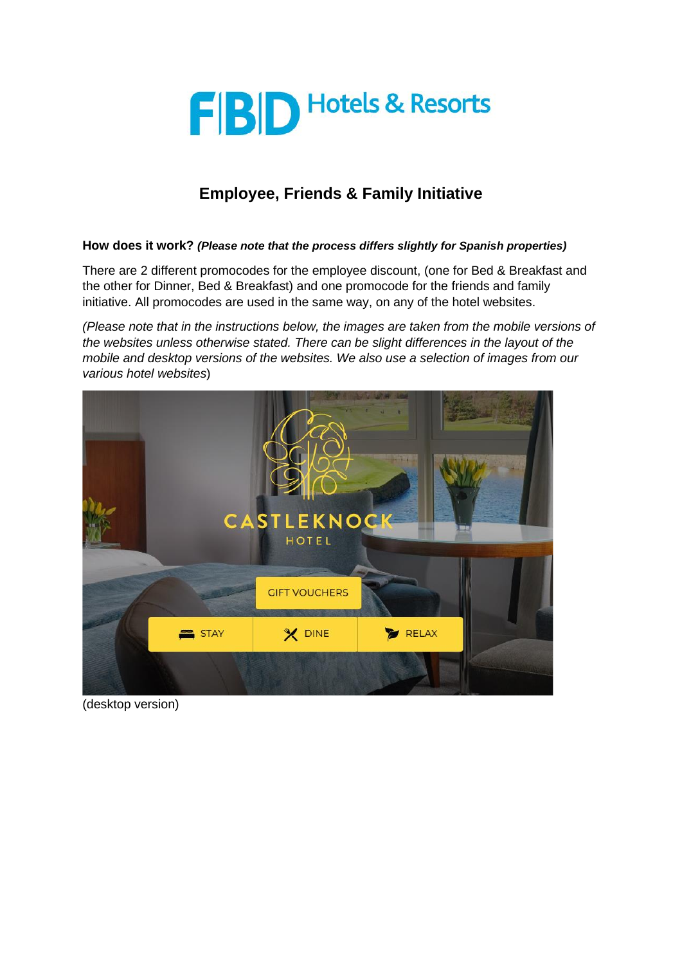

## **Employee, Friends & Family Initiative**

## **How does it work?** *(Please note that the process differs slightly for Spanish properties)*

There are 2 different promocodes for the employee discount, (one for Bed & Breakfast and the other for Dinner, Bed & Breakfast) and one promocode for the friends and family initiative. All promocodes are used in the same way, on any of the hotel websites.

*(Please note that in the instructions below, the images are taken from the mobile versions of the websites unless otherwise stated. There can be slight differences in the layout of the mobile and desktop versions of the websites. We also use a selection of images from our various hotel websites*)



(desktop version)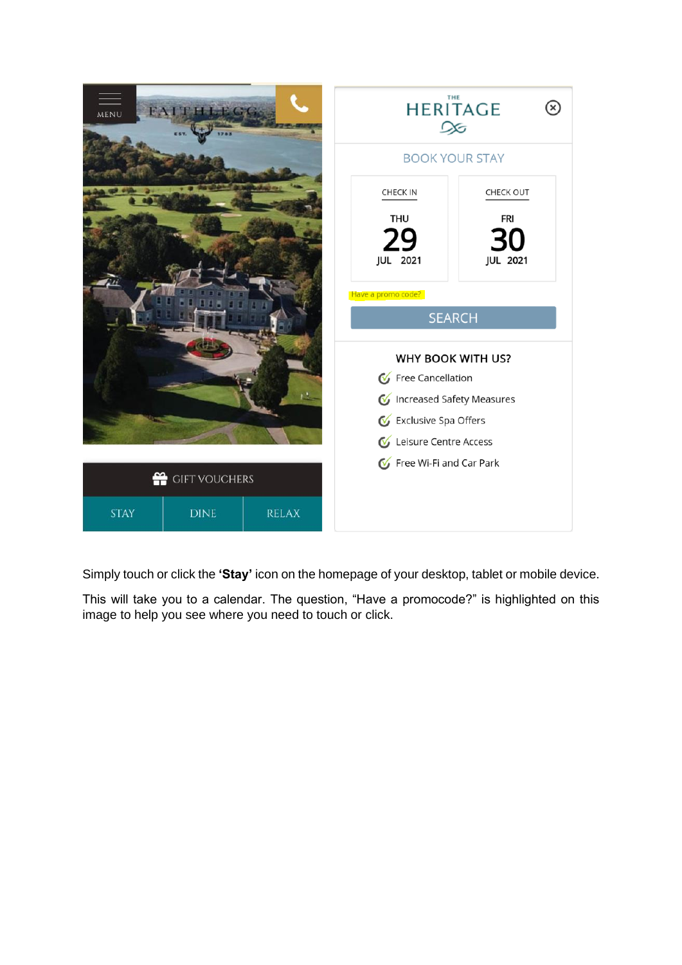

Simply touch or click the **'Stay'** icon on the homepage of your desktop, tablet or mobile device.

This will take you to a calendar. The question, "Have a promocode?" is highlighted on this image to help you see where you need to touch or click.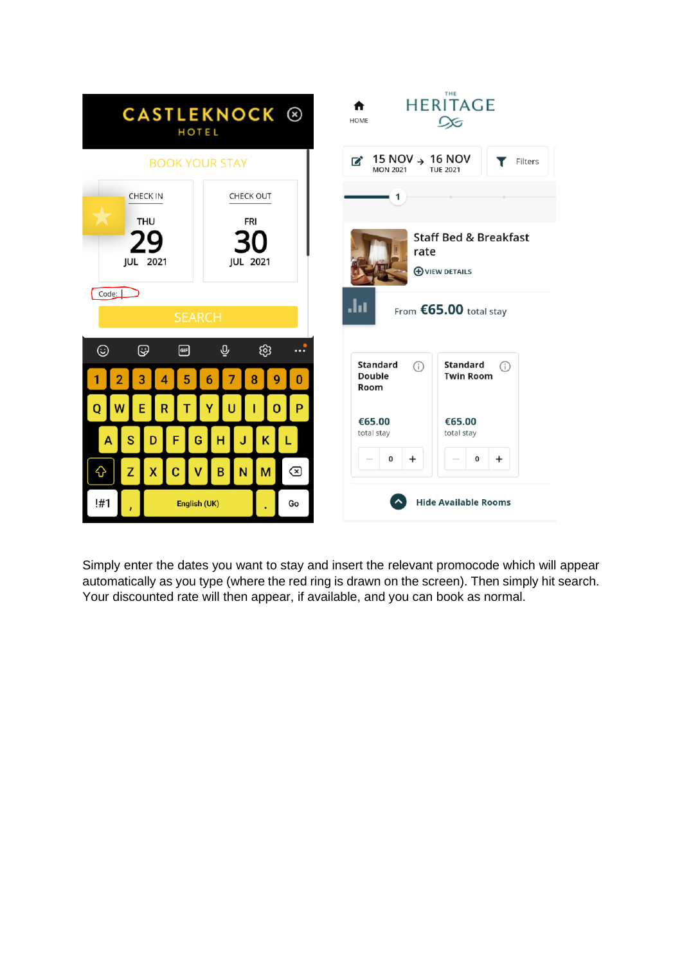

Simply enter the dates you want to stay and insert the relevant promocode which will appear automatically as you type (where the red ring is drawn on the screen). Then simply hit search. Your discounted rate will then appear, if available, and you can book as normal.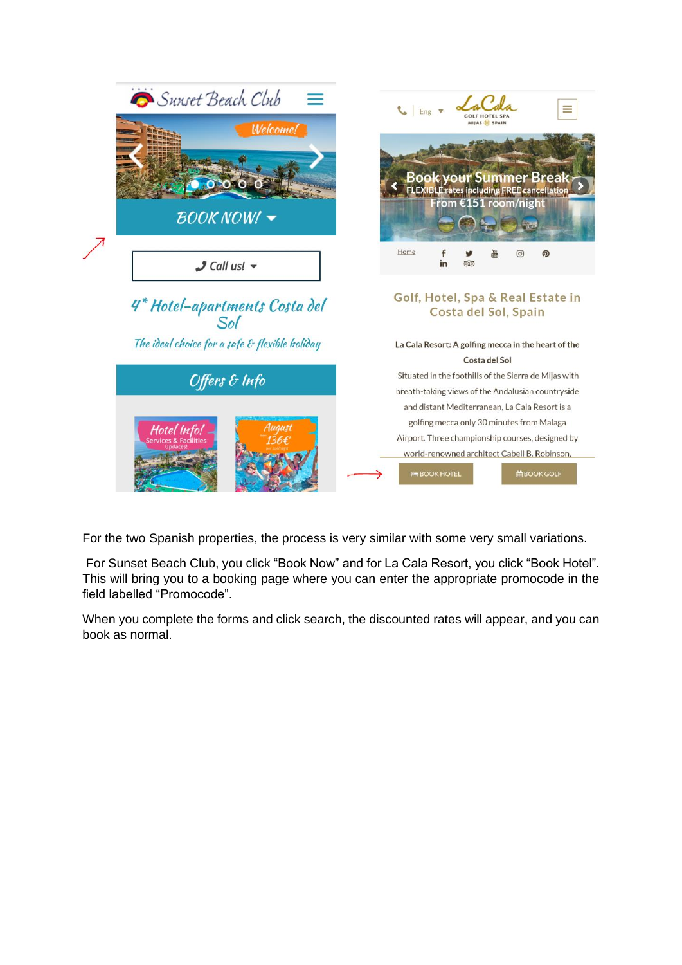

For the two Spanish properties, the process is very similar with some very small variations.

For Sunset Beach Club, you click "Book Now" and for La Cala Resort, you click "Book Hotel". This will bring you to a booking page where you can enter the appropriate promocode in the field labelled "Promocode".

When you complete the forms and click search, the discounted rates will appear, and you can book as normal.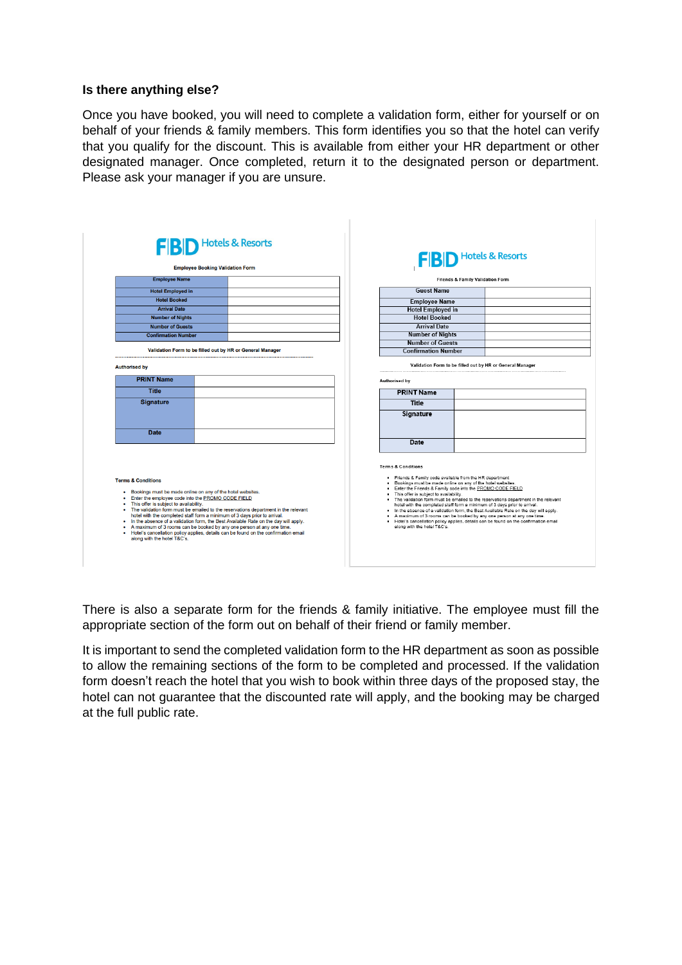## **Is there anything else?**

Once you have booked, you will need to complete a validation form, either for yourself or on behalf of your friends & family members. This form identifies you so that the hotel can verify that you qualify for the discount. This is available from either your HR department or other designated manager. Once completed, return it to the designated person or department. Please ask your manager if you are unsure.

 $\mathbb{L}$ 

|                                                                                                                                                                                                                                                                                                                                                                                                                                                                                                                                                                                                                                                                               | <b>Employee Booking Validation Form</b> | <b>FIBID</b> Hotels & Resorts |  |                                                                                                                                                                                                                                                                                                                                                                                                                                                                                                                                                                                                                                                                                                      |  |  |  |
|-------------------------------------------------------------------------------------------------------------------------------------------------------------------------------------------------------------------------------------------------------------------------------------------------------------------------------------------------------------------------------------------------------------------------------------------------------------------------------------------------------------------------------------------------------------------------------------------------------------------------------------------------------------------------------|-----------------------------------------|-------------------------------|--|------------------------------------------------------------------------------------------------------------------------------------------------------------------------------------------------------------------------------------------------------------------------------------------------------------------------------------------------------------------------------------------------------------------------------------------------------------------------------------------------------------------------------------------------------------------------------------------------------------------------------------------------------------------------------------------------------|--|--|--|
| <b>Employee Name</b>                                                                                                                                                                                                                                                                                                                                                                                                                                                                                                                                                                                                                                                          |                                         |                               |  | <b>Friends &amp; Family Validation Form</b>                                                                                                                                                                                                                                                                                                                                                                                                                                                                                                                                                                                                                                                          |  |  |  |
| <b>Hotel Employed in</b>                                                                                                                                                                                                                                                                                                                                                                                                                                                                                                                                                                                                                                                      |                                         |                               |  | <b>Guest Name</b>                                                                                                                                                                                                                                                                                                                                                                                                                                                                                                                                                                                                                                                                                    |  |  |  |
| <b>Hotel Booked</b>                                                                                                                                                                                                                                                                                                                                                                                                                                                                                                                                                                                                                                                           |                                         |                               |  | <b>Employee Name</b>                                                                                                                                                                                                                                                                                                                                                                                                                                                                                                                                                                                                                                                                                 |  |  |  |
| <b>Arrival Date</b>                                                                                                                                                                                                                                                                                                                                                                                                                                                                                                                                                                                                                                                           |                                         |                               |  | <b>Hotel Employed in</b>                                                                                                                                                                                                                                                                                                                                                                                                                                                                                                                                                                                                                                                                             |  |  |  |
| <b>Number of Nights</b>                                                                                                                                                                                                                                                                                                                                                                                                                                                                                                                                                                                                                                                       |                                         |                               |  | <b>Hotel Booked</b>                                                                                                                                                                                                                                                                                                                                                                                                                                                                                                                                                                                                                                                                                  |  |  |  |
| <b>Number of Guests</b>                                                                                                                                                                                                                                                                                                                                                                                                                                                                                                                                                                                                                                                       |                                         |                               |  | <b>Arrival Date</b>                                                                                                                                                                                                                                                                                                                                                                                                                                                                                                                                                                                                                                                                                  |  |  |  |
| <b>Confirmation Number</b>                                                                                                                                                                                                                                                                                                                                                                                                                                                                                                                                                                                                                                                    |                                         |                               |  | <b>Number of Nights</b>                                                                                                                                                                                                                                                                                                                                                                                                                                                                                                                                                                                                                                                                              |  |  |  |
|                                                                                                                                                                                                                                                                                                                                                                                                                                                                                                                                                                                                                                                                               |                                         |                               |  | <b>Number of Guests</b>                                                                                                                                                                                                                                                                                                                                                                                                                                                                                                                                                                                                                                                                              |  |  |  |
| Validation Form to be filled out by HR or General Manager                                                                                                                                                                                                                                                                                                                                                                                                                                                                                                                                                                                                                     |                                         |                               |  | <b>Confirmation Number</b>                                                                                                                                                                                                                                                                                                                                                                                                                                                                                                                                                                                                                                                                           |  |  |  |
| <b>PRINT Name</b>                                                                                                                                                                                                                                                                                                                                                                                                                                                                                                                                                                                                                                                             |                                         |                               |  | Authorised by                                                                                                                                                                                                                                                                                                                                                                                                                                                                                                                                                                                                                                                                                        |  |  |  |
| <b>Title</b>                                                                                                                                                                                                                                                                                                                                                                                                                                                                                                                                                                                                                                                                  |                                         |                               |  | <b>PRINT Name</b>                                                                                                                                                                                                                                                                                                                                                                                                                                                                                                                                                                                                                                                                                    |  |  |  |
| <b>Signature</b>                                                                                                                                                                                                                                                                                                                                                                                                                                                                                                                                                                                                                                                              |                                         |                               |  | <b>Title</b>                                                                                                                                                                                                                                                                                                                                                                                                                                                                                                                                                                                                                                                                                         |  |  |  |
| <b>Date</b>                                                                                                                                                                                                                                                                                                                                                                                                                                                                                                                                                                                                                                                                   |                                         |                               |  | <b>Signature</b>                                                                                                                                                                                                                                                                                                                                                                                                                                                                                                                                                                                                                                                                                     |  |  |  |
|                                                                                                                                                                                                                                                                                                                                                                                                                                                                                                                                                                                                                                                                               |                                         |                               |  | Date                                                                                                                                                                                                                                                                                                                                                                                                                                                                                                                                                                                                                                                                                                 |  |  |  |
|                                                                                                                                                                                                                                                                                                                                                                                                                                                                                                                                                                                                                                                                               |                                         |                               |  | <b>Terms &amp; Conditions</b>                                                                                                                                                                                                                                                                                                                                                                                                                                                                                                                                                                                                                                                                        |  |  |  |
| <b>Terms &amp; Conditions</b><br>• Bookings must be made online on any of the hotel websites.<br>Enter the employee code into the PROMO CODE FIELD<br>٠<br>• This offer is subject to availability.<br>• The validation form must be emailed to the reservations department in the relevant<br>hotel with the completed staff form a minimum of 3 days prior to arrival.<br>In the absence of a validation form, the Best Available Rate on the day will apply.<br>٠<br>A maximum of 3 rooms can be booked by any one person at any one time.<br>٠<br>Hotel's cancellation policy applies, details can be found on the confirmation email<br>٠<br>along with the hotel T&C's. |                                         |                               |  | . Friends & Family code available from the HR department<br>. Bookings must be made online on any of the hotel websites.<br>. Enter the Friends & Family code into the PROMO CODE FIELD<br>. This offer is subject to availability.<br>. The validation form must be emailed to the reservations department in the relevant<br>hotel with the completed staff form a minimum of 3 days prior to arrival.<br>. In the absence of a validation form, the Best Available Rate on the day will apply.<br>. A maximum of 3 rooms can be booked by any one person at any one time.<br>. Hotel's cancellation policy applies, details can be found on the confirmation email<br>along with the hotel T&C's. |  |  |  |

There is also a separate form for the friends & family initiative. The employee must fill the appropriate section of the form out on behalf of their friend or family member.

It is important to send the completed validation form to the HR department as soon as possible to allow the remaining sections of the form to be completed and processed. If the validation form doesn't reach the hotel that you wish to book within three days of the proposed stay, the hotel can not guarantee that the discounted rate will apply, and the booking may be charged at the full public rate.